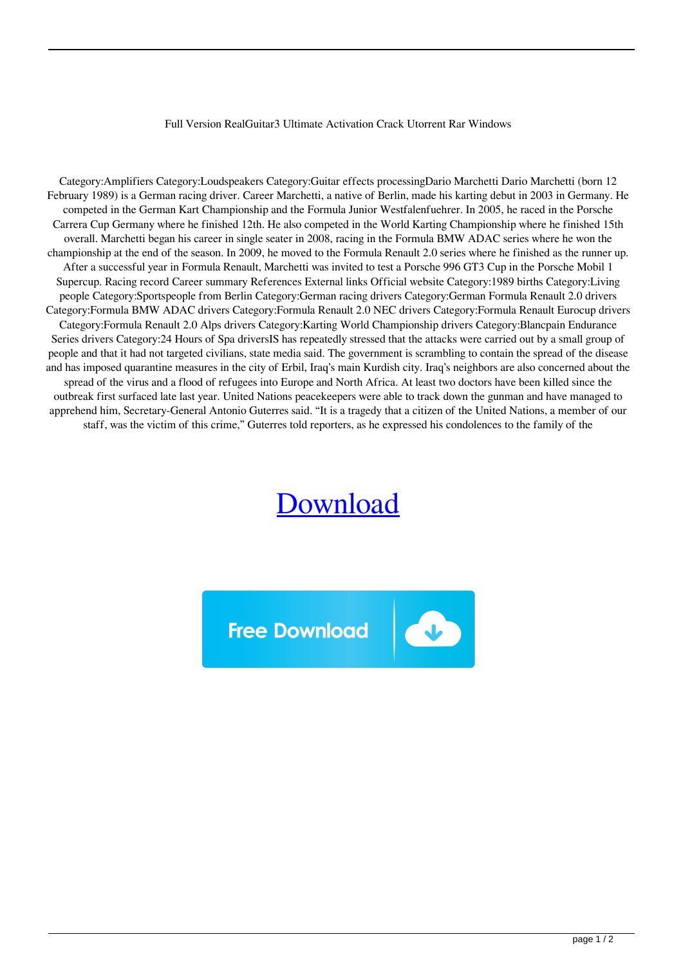## Full Version RealGuitar3 Ultimate Activation Crack Utorrent Rar Windows

Category:Amplifiers Category:Loudspeakers Category:Guitar effects processingDario Marchetti Dario Marchetti (born 12 February 1989) is a German racing driver. Career Marchetti, a native of Berlin, made his karting debut in 2003 in Germany. He competed in the German Kart Championship and the Formula Junior Westfalenfuehrer. In 2005, he raced in the Porsche Carrera Cup Germany where he finished 12th. He also competed in the World Karting Championship where he finished 15th overall. Marchetti began his career in single seater in 2008, racing in the Formula BMW ADAC series where he won the championship at the end of the season. In 2009, he moved to the Formula Renault 2.0 series where he finished as the runner up. After a successful year in Formula Renault, Marchetti was invited to test a Porsche 996 GT3 Cup in the Porsche Mobil 1 Supercup. Racing record Career summary References External links Official website Category:1989 births Category:Living people Category:Sportspeople from Berlin Category:German racing drivers Category:German Formula Renault 2.0 drivers Category:Formula BMW ADAC drivers Category:Formula Renault 2.0 NEC drivers Category:Formula Renault Eurocup drivers Category:Formula Renault 2.0 Alps drivers Category:Karting World Championship drivers Category:Blancpain Endurance Series drivers Category:24 Hours of Spa driversIS has repeatedly stressed that the attacks were carried out by a small group of people and that it had not targeted civilians, state media said. The government is scrambling to contain the spread of the disease and has imposed quarantine measures in the city of Erbil, Iraq's main Kurdish city. Iraq's neighbors are also concerned about the spread of the virus and a flood of refugees into Europe and North Africa. At least two doctors have been killed since the outbreak first surfaced late last year. United Nations peacekeepers were able to track down the gunman and have managed to apprehend him, Secretary-General Antonio Guterres said. "It is a tragedy that a citizen of the United Nations, a member of our staff, was the victim of this crime," Guterres told reporters, as he expressed his condolences to the family of the

## [Download](http://evacdir.com/ZG93bmxvYWR8b3cxZVRCOGZERTJOVEkzTkRBNE5qWjhmREkxTnpSOGZDaE5LU0J5WldGa0xXSnNiMmNnVzBaaGMzUWdSMFZPWFE/drooling/alkemists.bottoms/rescues/RG93bmxvYWRSZWFsR3VpdGFyM0Z1bGxWc3RDcmFja3JhcgRG9/komodo)